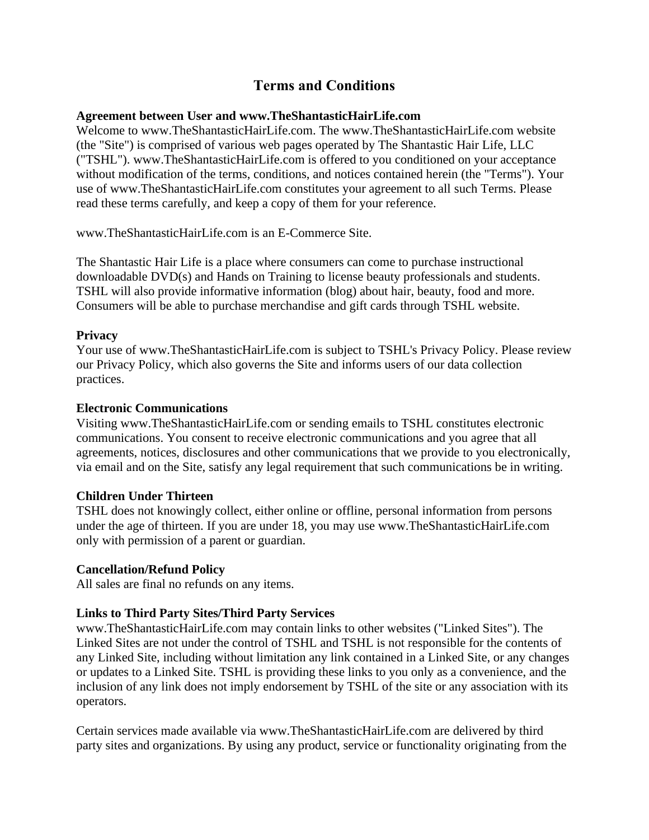# **Terms and Conditions**

# **Agreement between User and www.TheShantasticHairLife.com**

Welcome to www.TheShantasticHairLife.com. The www.TheShantasticHairLife.com website (the "Site") is comprised of various web pages operated by The Shantastic Hair Life, LLC ("TSHL"). www.TheShantasticHairLife.com is offered to you conditioned on your acceptance without modification of the terms, conditions, and notices contained herein (the "Terms"). Your use of www.TheShantasticHairLife.com constitutes your agreement to all such Terms. Please read these terms carefully, and keep a copy of them for your reference.

www.TheShantasticHairLife.com is an E-Commerce Site.

The Shantastic Hair Life is a place where consumers can come to purchase instructional downloadable DVD(s) and Hands on Training to license beauty professionals and students. TSHL will also provide informative information (blog) about hair, beauty, food and more. Consumers will be able to purchase merchandise and gift cards through TSHL website.

# **Privacy**

Your use of www.TheShantasticHairLife.com is subject to TSHL's Privacy Policy. Please review our Privacy Policy, which also governs the Site and informs users of our data collection practices.

# **Electronic Communications**

Visiting www.TheShantasticHairLife.com or sending emails to TSHL constitutes electronic communications. You consent to receive electronic communications and you agree that all agreements, notices, disclosures and other communications that we provide to you electronically, via email and on the Site, satisfy any legal requirement that such communications be in writing.

# **Children Under Thirteen**

TSHL does not knowingly collect, either online or offline, personal information from persons under the age of thirteen. If you are under 18, you may use www.TheShantasticHairLife.com only with permission of a parent or guardian.

#### **Cancellation/Refund Policy**

All sales are final no refunds on any items.

# **Links to Third Party Sites/Third Party Services**

www.TheShantasticHairLife.com may contain links to other websites ("Linked Sites"). The Linked Sites are not under the control of TSHL and TSHL is not responsible for the contents of any Linked Site, including without limitation any link contained in a Linked Site, or any changes or updates to a Linked Site. TSHL is providing these links to you only as a convenience, and the inclusion of any link does not imply endorsement by TSHL of the site or any association with its operators.

Certain services made available via www.TheShantasticHairLife.com are delivered by third party sites and organizations. By using any product, service or functionality originating from the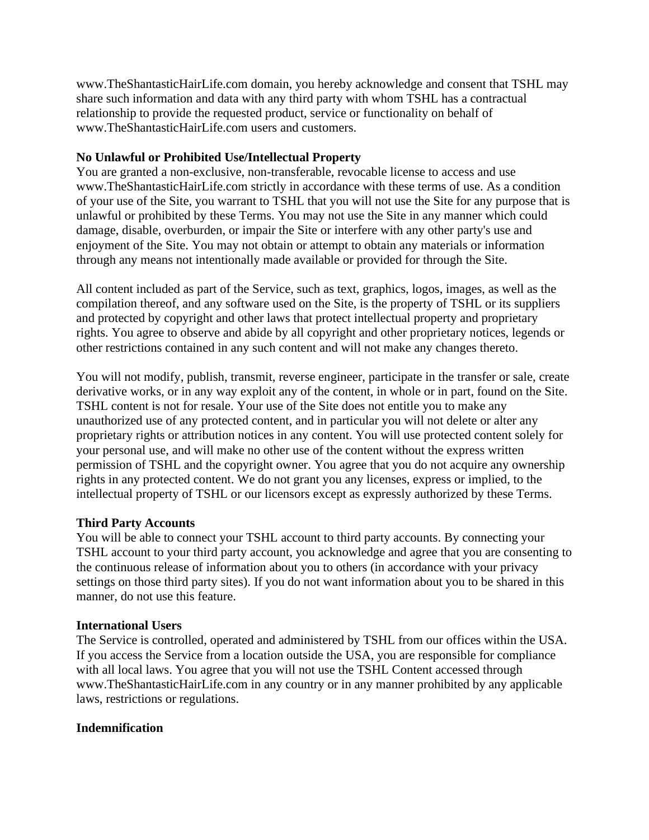www.TheShantasticHairLife.com domain, you hereby acknowledge and consent that TSHL may share such information and data with any third party with whom TSHL has a contractual relationship to provide the requested product, service or functionality on behalf of www.TheShantasticHairLife.com users and customers.

# **No Unlawful or Prohibited Use/Intellectual Property**

You are granted a non-exclusive, non-transferable, revocable license to access and use www.TheShantasticHairLife.com strictly in accordance with these terms of use. As a condition of your use of the Site, you warrant to TSHL that you will not use the Site for any purpose that is unlawful or prohibited by these Terms. You may not use the Site in any manner which could damage, disable, overburden, or impair the Site or interfere with any other party's use and enjoyment of the Site. You may not obtain or attempt to obtain any materials or information through any means not intentionally made available or provided for through the Site.

All content included as part of the Service, such as text, graphics, logos, images, as well as the compilation thereof, and any software used on the Site, is the property of TSHL or its suppliers and protected by copyright and other laws that protect intellectual property and proprietary rights. You agree to observe and abide by all copyright and other proprietary notices, legends or other restrictions contained in any such content and will not make any changes thereto.

You will not modify, publish, transmit, reverse engineer, participate in the transfer or sale, create derivative works, or in any way exploit any of the content, in whole or in part, found on the Site. TSHL content is not for resale. Your use of the Site does not entitle you to make any unauthorized use of any protected content, and in particular you will not delete or alter any proprietary rights or attribution notices in any content. You will use protected content solely for your personal use, and will make no other use of the content without the express written permission of TSHL and the copyright owner. You agree that you do not acquire any ownership rights in any protected content. We do not grant you any licenses, express or implied, to the intellectual property of TSHL or our licensors except as expressly authorized by these Terms.

#### **Third Party Accounts**

You will be able to connect your TSHL account to third party accounts. By connecting your TSHL account to your third party account, you acknowledge and agree that you are consenting to the continuous release of information about you to others (in accordance with your privacy settings on those third party sites). If you do not want information about you to be shared in this manner, do not use this feature.

#### **International Users**

The Service is controlled, operated and administered by TSHL from our offices within the USA. If you access the Service from a location outside the USA, you are responsible for compliance with all local laws. You agree that you will not use the TSHL Content accessed through www.TheShantasticHairLife.com in any country or in any manner prohibited by any applicable laws, restrictions or regulations.

#### **Indemnification**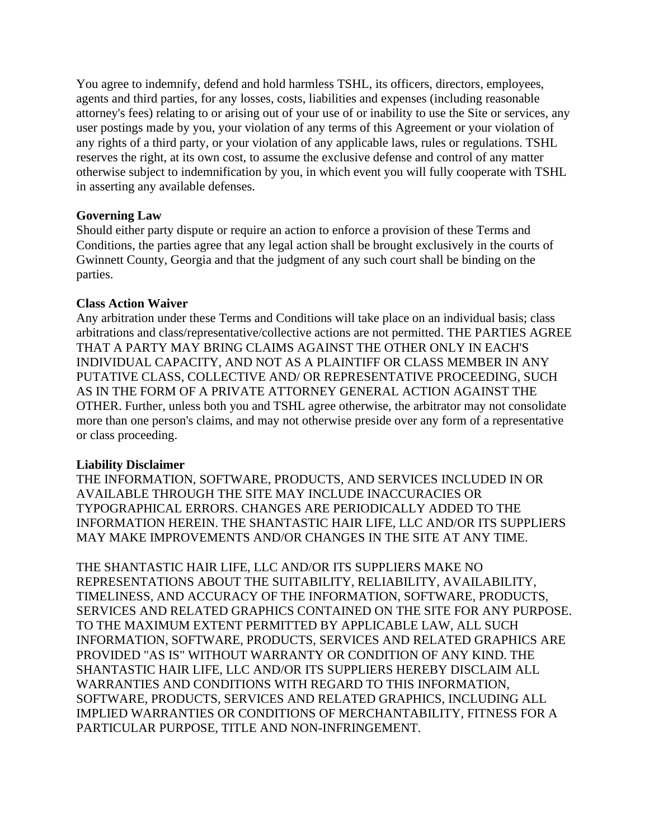You agree to indemnify, defend and hold harmless TSHL, its officers, directors, employees, agents and third parties, for any losses, costs, liabilities and expenses (including reasonable attorney's fees) relating to or arising out of your use of or inability to use the Site or services, any user postings made by you, your violation of any terms of this Agreement or your violation of any rights of a third party, or your violation of any applicable laws, rules or regulations. TSHL reserves the right, at its own cost, to assume the exclusive defense and control of any matter otherwise subject to indemnification by you, in which event you will fully cooperate with TSHL in asserting any available defenses.

#### **Governing Law**

Should either party dispute or require an action to enforce a provision of these Terms and Conditions, the parties agree that any legal action shall be brought exclusively in the courts of Gwinnett County, Georgia and that the judgment of any such court shall be binding on the parties.

# **Class Action Waiver**

Any arbitration under these Terms and Conditions will take place on an individual basis; class arbitrations and class/representative/collective actions are not permitted. THE PARTIES AGREE THAT A PARTY MAY BRING CLAIMS AGAINST THE OTHER ONLY IN EACH'S INDIVIDUAL CAPACITY, AND NOT AS A PLAINTIFF OR CLASS MEMBER IN ANY PUTATIVE CLASS, COLLECTIVE AND/ OR REPRESENTATIVE PROCEEDING, SUCH AS IN THE FORM OF A PRIVATE ATTORNEY GENERAL ACTION AGAINST THE OTHER. Further, unless both you and TSHL agree otherwise, the arbitrator may not consolidate more than one person's claims, and may not otherwise preside over any form of a representative or class proceeding.

# **Liability Disclaimer**

THE INFORMATION, SOFTWARE, PRODUCTS, AND SERVICES INCLUDED IN OR AVAILABLE THROUGH THE SITE MAY INCLUDE INACCURACIES OR TYPOGRAPHICAL ERRORS. CHANGES ARE PERIODICALLY ADDED TO THE INFORMATION HEREIN. THE SHANTASTIC HAIR LIFE, LLC AND/OR ITS SUPPLIERS MAY MAKE IMPROVEMENTS AND/OR CHANGES IN THE SITE AT ANY TIME.

THE SHANTASTIC HAIR LIFE, LLC AND/OR ITS SUPPLIERS MAKE NO REPRESENTATIONS ABOUT THE SUITABILITY, RELIABILITY, AVAILABILITY, TIMELINESS, AND ACCURACY OF THE INFORMATION, SOFTWARE, PRODUCTS, SERVICES AND RELATED GRAPHICS CONTAINED ON THE SITE FOR ANY PURPOSE. TO THE MAXIMUM EXTENT PERMITTED BY APPLICABLE LAW, ALL SUCH INFORMATION, SOFTWARE, PRODUCTS, SERVICES AND RELATED GRAPHICS ARE PROVIDED "AS IS" WITHOUT WARRANTY OR CONDITION OF ANY KIND. THE SHANTASTIC HAIR LIFE, LLC AND/OR ITS SUPPLIERS HEREBY DISCLAIM ALL WARRANTIES AND CONDITIONS WITH REGARD TO THIS INFORMATION, SOFTWARE, PRODUCTS, SERVICES AND RELATED GRAPHICS, INCLUDING ALL IMPLIED WARRANTIES OR CONDITIONS OF MERCHANTABILITY, FITNESS FOR A PARTICULAR PURPOSE, TITLE AND NON-INFRINGEMENT.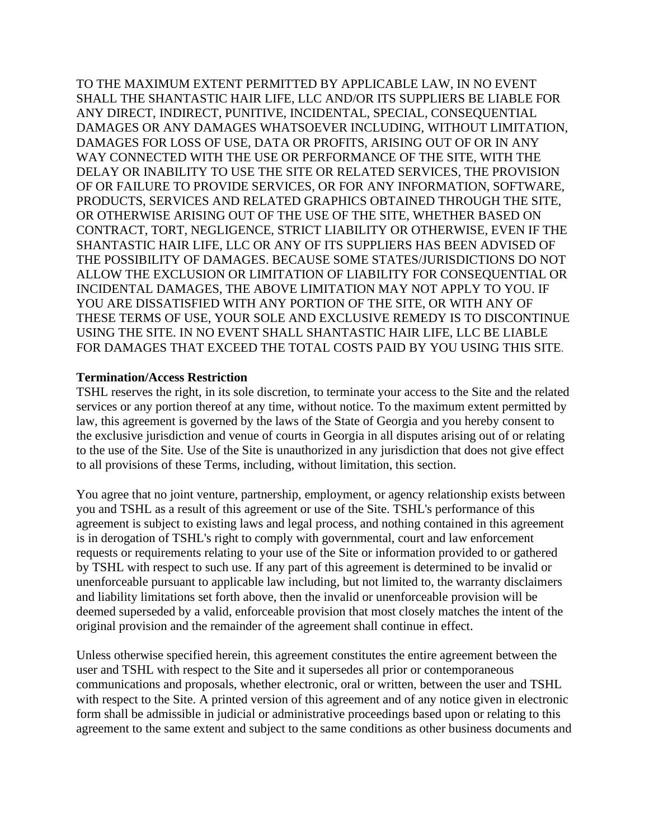TO THE MAXIMUM EXTENT PERMITTED BY APPLICABLE LAW, IN NO EVENT SHALL THE SHANTASTIC HAIR LIFE, LLC AND/OR ITS SUPPLIERS BE LIABLE FOR ANY DIRECT, INDIRECT, PUNITIVE, INCIDENTAL, SPECIAL, CONSEQUENTIAL DAMAGES OR ANY DAMAGES WHATSOEVER INCLUDING, WITHOUT LIMITATION, DAMAGES FOR LOSS OF USE, DATA OR PROFITS, ARISING OUT OF OR IN ANY WAY CONNECTED WITH THE USE OR PERFORMANCE OF THE SITE, WITH THE DELAY OR INABILITY TO USE THE SITE OR RELATED SERVICES, THE PROVISION OF OR FAILURE TO PROVIDE SERVICES, OR FOR ANY INFORMATION, SOFTWARE, PRODUCTS, SERVICES AND RELATED GRAPHICS OBTAINED THROUGH THE SITE, OR OTHERWISE ARISING OUT OF THE USE OF THE SITE, WHETHER BASED ON CONTRACT, TORT, NEGLIGENCE, STRICT LIABILITY OR OTHERWISE, EVEN IF THE SHANTASTIC HAIR LIFE, LLC OR ANY OF ITS SUPPLIERS HAS BEEN ADVISED OF THE POSSIBILITY OF DAMAGES. BECAUSE SOME STATES/JURISDICTIONS DO NOT ALLOW THE EXCLUSION OR LIMITATION OF LIABILITY FOR CONSEQUENTIAL OR INCIDENTAL DAMAGES, THE ABOVE LIMITATION MAY NOT APPLY TO YOU. IF YOU ARE DISSATISFIED WITH ANY PORTION OF THE SITE, OR WITH ANY OF THESE TERMS OF USE, YOUR SOLE AND EXCLUSIVE REMEDY IS TO DISCONTINUE USING THE SITE. IN NO EVENT SHALL SHANTASTIC HAIR LIFE, LLC BE LIABLE FOR DAMAGES THAT EXCEED THE TOTAL COSTS PAID BY YOU USING THIS SITE.

#### **Termination/Access Restriction**

TSHL reserves the right, in its sole discretion, to terminate your access to the Site and the related services or any portion thereof at any time, without notice. To the maximum extent permitted by law, this agreement is governed by the laws of the State of Georgia and you hereby consent to the exclusive jurisdiction and venue of courts in Georgia in all disputes arising out of or relating to the use of the Site. Use of the Site is unauthorized in any jurisdiction that does not give effect to all provisions of these Terms, including, without limitation, this section.

You agree that no joint venture, partnership, employment, or agency relationship exists between you and TSHL as a result of this agreement or use of the Site. TSHL's performance of this agreement is subject to existing laws and legal process, and nothing contained in this agreement is in derogation of TSHL's right to comply with governmental, court and law enforcement requests or requirements relating to your use of the Site or information provided to or gathered by TSHL with respect to such use. If any part of this agreement is determined to be invalid or unenforceable pursuant to applicable law including, but not limited to, the warranty disclaimers and liability limitations set forth above, then the invalid or unenforceable provision will be deemed superseded by a valid, enforceable provision that most closely matches the intent of the original provision and the remainder of the agreement shall continue in effect.

Unless otherwise specified herein, this agreement constitutes the entire agreement between the user and TSHL with respect to the Site and it supersedes all prior or contemporaneous communications and proposals, whether electronic, oral or written, between the user and TSHL with respect to the Site. A printed version of this agreement and of any notice given in electronic form shall be admissible in judicial or administrative proceedings based upon or relating to this agreement to the same extent and subject to the same conditions as other business documents and